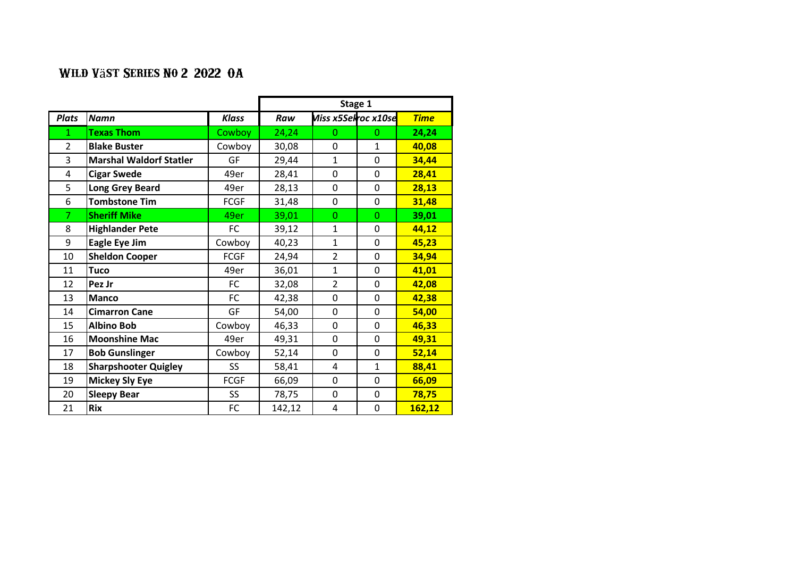|                |                                |               | Stage 1 |                                    |                |             |  |
|----------------|--------------------------------|---------------|---------|------------------------------------|----------------|-------------|--|
| <b>Plats</b>   | <b>Namn</b>                    | Klass         | Raw     | Miss x5Selroc x10se <mark>l</mark> |                | <b>Time</b> |  |
| 1              | <b>Texas Thom</b>              | <b>Cowboy</b> | 24,24   | 0                                  | $\Omega$       | 24,24       |  |
| $\overline{2}$ | <b>Blake Buster</b>            | Cowboy        | 30,08   | 0                                  | $\mathbf{1}$   | 40,08       |  |
| 3              | <b>Marshal Waldorf Statler</b> | GF            | 29,44   | $\mathbf{1}$                       | 0              | 34,44       |  |
| 4              | <b>Cigar Swede</b>             | 49er          | 28,41   | 0                                  | 0              | 28,41       |  |
| 5              | <b>Long Grey Beard</b>         | 49er          | 28,13   | 0                                  | 0              | 28,13       |  |
| 6              | <b>Tombstone Tim</b>           | <b>FCGF</b>   | 31,48   | 0                                  | 0              | 31,48       |  |
| 7              | <b>Sheriff Mike</b>            | 49er          | 39,01   | 0                                  | $\overline{0}$ | 39,01       |  |
| 8              | <b>Highlander Pete</b>         | FC            | 39,12   | 1                                  | 0              | 44,12       |  |
| 9              | Eagle Eye Jim                  | Cowboy        | 40,23   | 1                                  | 0              | 45,23       |  |
| 10             | <b>Sheldon Cooper</b>          | <b>FCGF</b>   | 24,94   | $\overline{2}$                     | 0              | 34,94       |  |
| 11             | <b>Tuco</b>                    | 49er          | 36,01   | 1                                  | 0              | 41,01       |  |
| 12             | Pez Jr                         | FC            | 32,08   | $\overline{2}$                     | 0              | 42,08       |  |
| 13             | <b>Manco</b>                   | <b>FC</b>     | 42,38   | 0                                  | 0              | 42,38       |  |
| 14             | <b>Cimarron Cane</b>           | GF            | 54,00   | 0                                  | 0              | 54,00       |  |
| 15             | <b>Albino Bob</b>              | Cowboy        | 46,33   | 0                                  | 0              | 46,33       |  |
| 16             | <b>Moonshine Mac</b>           | 49er          | 49,31   | 0                                  | 0              | 49,31       |  |
| 17             | <b>Bob Gunslinger</b>          | Cowboy        | 52,14   | 0                                  | 0              | 52,14       |  |
| 18             | <b>Sharpshooter Quigley</b>    | SS            | 58,41   | 4                                  | 1              | 88,41       |  |
| 19             | <b>Mickey Sly Eye</b>          | <b>FCGF</b>   | 66,09   | 0                                  | 0              | 66,09       |  |
| 20             | <b>Sleepy Bear</b>             | <b>SS</b>     | 78,75   | 0                                  | 0              | 78,75       |  |
| 21             | <b>Rix</b>                     | FC            | 142,12  | 4                                  | 0              | 162,12      |  |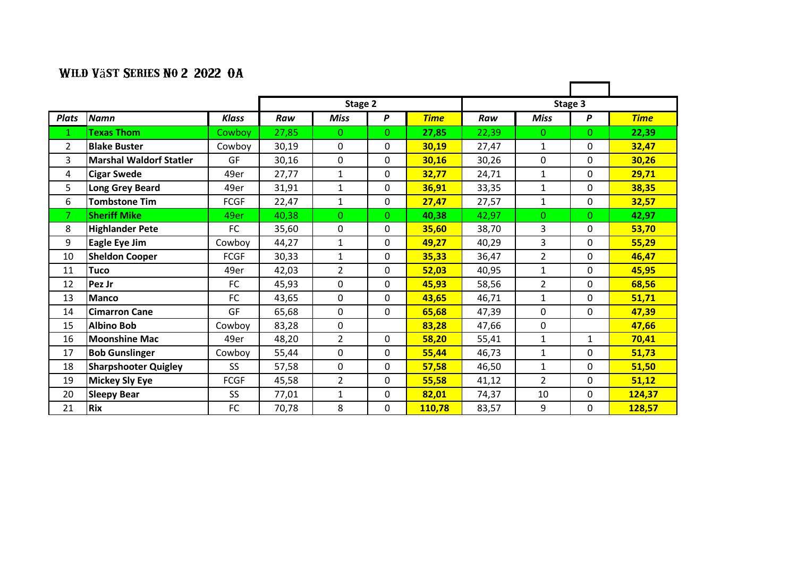|              |                                |                 |         |                |                |             |       |                | Stage 3          |             |
|--------------|--------------------------------|-----------------|---------|----------------|----------------|-------------|-------|----------------|------------------|-------------|
|              |                                |                 | Stage 2 |                |                |             |       |                |                  |             |
| <b>Plats</b> | <b>Namn</b>                    | <b>Klass</b>    | Raw     | <b>Miss</b>    | P              | <b>Time</b> | Raw   | <b>Miss</b>    | $\boldsymbol{P}$ | <b>Time</b> |
| 1            | <b>Fexas Thom</b>              | Cowboy          | 27,85   | $\mathbf{0}$   | $\Omega$       | 27,85       | 22,39 | $\Omega$       | 0                | 22,39       |
| 2            | <b>Blake Buster</b>            | Cowboy          | 30,19   | $\mathbf{0}$   | 0              | 30,19       | 27,47 | $\mathbf{1}$   | 0                | 32,47       |
| 3            | <b>Marshal Waldorf Statler</b> | <b>GF</b>       | 30,16   | $\mathbf{0}$   | $\mathbf{0}$   | 30,16       | 30,26 | $\mathbf{0}$   | 0                | 30,26       |
| 4            | <b>Cigar Swede</b>             | 49er            | 27,77   | $\mathbf{1}$   | $\mathbf 0$    | 32,77       | 24,71 | $\mathbf{1}$   | 0                | 29,71       |
| 5            | <b>Long Grey Beard</b>         | 49er            | 31,91   | $\mathbf{1}$   | 0              | 36,91       | 33,35 | $\mathbf{1}$   | 0                | 38,35       |
| 6            | <b>Tombstone Tim</b>           | <b>FCGF</b>     | 22,47   | $\mathbf 1$    | 0              | 27,47       | 27,57 | $\mathbf{1}$   | 0                | 32,57       |
| 7            | <b>Sheriff Mike</b>            | 49er            | 40,38   | $\mathbf{0}$   | $\overline{0}$ | 40,38       | 42,97 | $\mathbf{0}$   | 0                | 42,97       |
| 8            | <b>Highlander Pete</b>         | FC              | 35,60   | 0              | 0              | 35,60       | 38,70 | 3              | 0                | 53,70       |
| 9            | Eagle Eye Jim                  | Cowboy          | 44,27   | 1              | 0              | 49,27       | 40,29 | 3              | 0                | 55,29       |
| 10           | <b>Sheldon Cooper</b>          | <b>FCGF</b>     | 30,33   | $\mathbf{1}$   | $\mathbf 0$    | 35,33       | 36,47 | $\overline{2}$ | 0                | 46,47       |
| 11           | <b>Tuco</b>                    | 49er            | 42,03   | $\overline{2}$ | $\mathbf{0}$   | 52,03       | 40,95 | $\mathbf{1}$   | 0                | 45,95       |
| 12           | Pez Jr                         | FC              | 45,93   | $\Omega$       | 0              | 45,93       | 58,56 | $\overline{2}$ | $\Omega$         | 68,56       |
| 13           | <b>Manco</b>                   | FC              | 43,65   | 0              | 0              | 43,65       | 46,71 | 1              | 0                | 51,71       |
| 14           | <b>Cimarron Cane</b>           | GF              | 65,68   | 0              | $\mathbf 0$    | 65,68       | 47,39 | 0              | 0                | 47,39       |
| 15           | <b>Albino Bob</b>              | Cowboy          | 83,28   | 0              |                | 83,28       | 47,66 | 0              |                  | 47,66       |
| 16           | <b>Moonshine Mac</b>           | 49er            | 48,20   | $\overline{2}$ | $\mathbf{0}$   | 58,20       | 55,41 | 1              | $\mathbf{1}$     | 70,41       |
| 17           | <b>Bob Gunslinger</b>          | Cowboy          | 55,44   | $\mathbf{0}$   | $\mathbf{0}$   | 55,44       | 46,73 | $\mathbf{1}$   | 0                | 51,73       |
| 18           | <b>Sharpshooter Quigley</b>    | SS.             | 57,58   | $\mathbf{0}$   | $\mathbf{0}$   | 57,58       | 46,50 | 1              | 0                | 51,50       |
| 19           | <b>Mickey Sly Eye</b>          | <b>FCGF</b>     | 45,58   | $\overline{2}$ | $\mathbf{0}$   | 55,58       | 41,12 | $\overline{2}$ | 0                | 51,12       |
| 20           | <b>Sleepy Bear</b>             | SS <sub>1</sub> | 77,01   | $\mathbf{1}$   | 0              | 82,01       | 74,37 | 10             | 0                | 124,37      |
| 21           | <b>Rix</b>                     | FC              | 70,78   | 8              | 0              | 110,78      | 83,57 | 9              | 0                | 128,57      |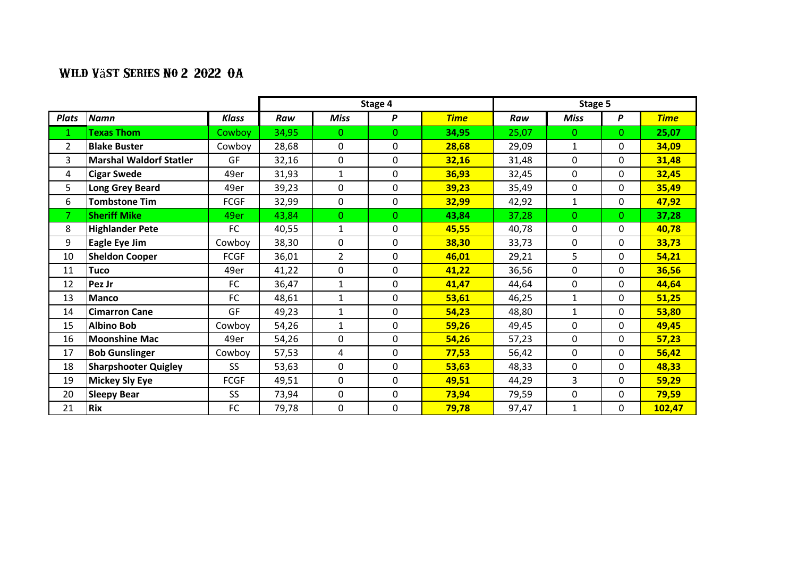|                |                                |              | Stage 4 |                |                | Stage 5     |       |              |          |             |
|----------------|--------------------------------|--------------|---------|----------------|----------------|-------------|-------|--------------|----------|-------------|
| <b>Plats</b>   | <b>Namn</b>                    | <b>Klass</b> | Raw     | Miss           | P              | <b>Time</b> | Raw   | <b>Miss</b>  | P        | <b>Time</b> |
| $\mathbf{1}$   | <b>Texas Thom</b>              | Cowboy       | 34,95   | $\Omega$       | $\Omega$       | 34,95       | 25,07 | $\Omega$     | 0        | 25,07       |
| $\overline{2}$ | <b>Blake Buster</b>            | Cowboy       | 28,68   | 0              | $\mathbf 0$    | 28,68       | 29,09 | 1            | 0        | 34,09       |
| 3              | <b>Marshal Waldorf Statler</b> | GF           | 32,16   | 0              | 0              | 32,16       | 31,48 | $\Omega$     | 0        | 31,48       |
| 4              | <b>Cigar Swede</b>             | 49er         | 31,93   | $\mathbf{1}$   | 0              | 36,93       | 32,45 | $\mathbf{0}$ | 0        | 32,45       |
| 5              | <b>Long Grey Beard</b>         | 49er         | 39,23   | 0              | $\mathbf{0}$   | 39,23       | 35,49 | 0            | 0        | 35,49       |
| 6              | <b>Tombstone Tim</b>           | <b>FCGF</b>  | 32,99   | 0              | $\mathbf 0$    | 32,99       | 42,92 | $\mathbf{1}$ | 0        | 47,92       |
|                | <b>Sheriff Mike</b>            | 49er         | 43,84   | $\overline{0}$ | $\overline{0}$ | 43,84       | 37,28 | $\Omega$     | $\Omega$ | 37,28       |
| 8              | <b>Highlander Pete</b>         | FC           | 40,55   | $\mathbf{1}$   | 0              | 45,55       | 40,78 | $\mathbf{0}$ | 0        | 40,78       |
| 9              | Eagle Eye Jim                  | Cowboy       | 38,30   | 0              | $\mathbf 0$    | 38,30       | 33,73 | 0            | 0        | 33,73       |
| 10             | <b>Sheldon Cooper</b>          | <b>FCGF</b>  | 36,01   | $\overline{2}$ | 0              | 46,01       | 29,21 | 5            | 0        | 54,21       |
| 11             | <b>Tuco</b>                    | 49er         | 41,22   | $\mathbf{0}$   | 0              | 41,22       | 36,56 | 0            | 0        | 36,56       |
| 12             | Pez Jr                         | FC           | 36,47   | $\mathbf{1}$   | $\mathbf 0$    | 41,47       | 44,64 | 0            | 0        | 44,64       |
| 13             | <b>Manco</b>                   | FC           | 48,61   | $\mathbf{1}$   | 0              | 53,61       | 46,25 | $\mathbf{1}$ | 0        | 51,25       |
| 14             | <b>Cimarron Cane</b>           | GF           | 49,23   | $\mathbf{1}$   | 0              | 54,23       | 48,80 | $\mathbf{1}$ | 0        | 53,80       |
| 15             | <b>Albino Bob</b>              | Cowboy       | 54,26   | $\mathbf{1}$   | $\mathbf 0$    | 59,26       | 49,45 | 0            | 0        | 49,45       |
| 16             | <b>Moonshine Mac</b>           | 49er         | 54,26   | 0              | 0              | 54,26       | 57,23 | $\Omega$     | 0        | 57,23       |
| 17             | <b>Bob Gunslinger</b>          | Cowboy       | 57,53   | $\overline{4}$ | 0              | 77,53       | 56,42 | $\Omega$     | 0        | 56,42       |
| 18             | <b>Sharpshooter Quigley</b>    | <b>SS</b>    | 53,63   | 0              | 0              | 53,63       | 48,33 | 0            | 0        | 48,33       |
| 19             | Mickey Sly Eye                 | <b>FCGF</b>  | 49,51   | $\mathbf{0}$   | 0              | 49,51       | 44,29 | 3            | 0        | 59,29       |
| 20             | <b>Sleepy Bear</b>             | <b>SS</b>    | 73,94   | $\mathbf{0}$   | 0              | 73,94       | 79,59 | 0            | 0        | 79,59       |
| 21             | <b>Rix</b>                     | FC           | 79,78   | 0              | 0              | 79,78       | 97,47 | $\mathbf{1}$ | 0        | 102,47      |